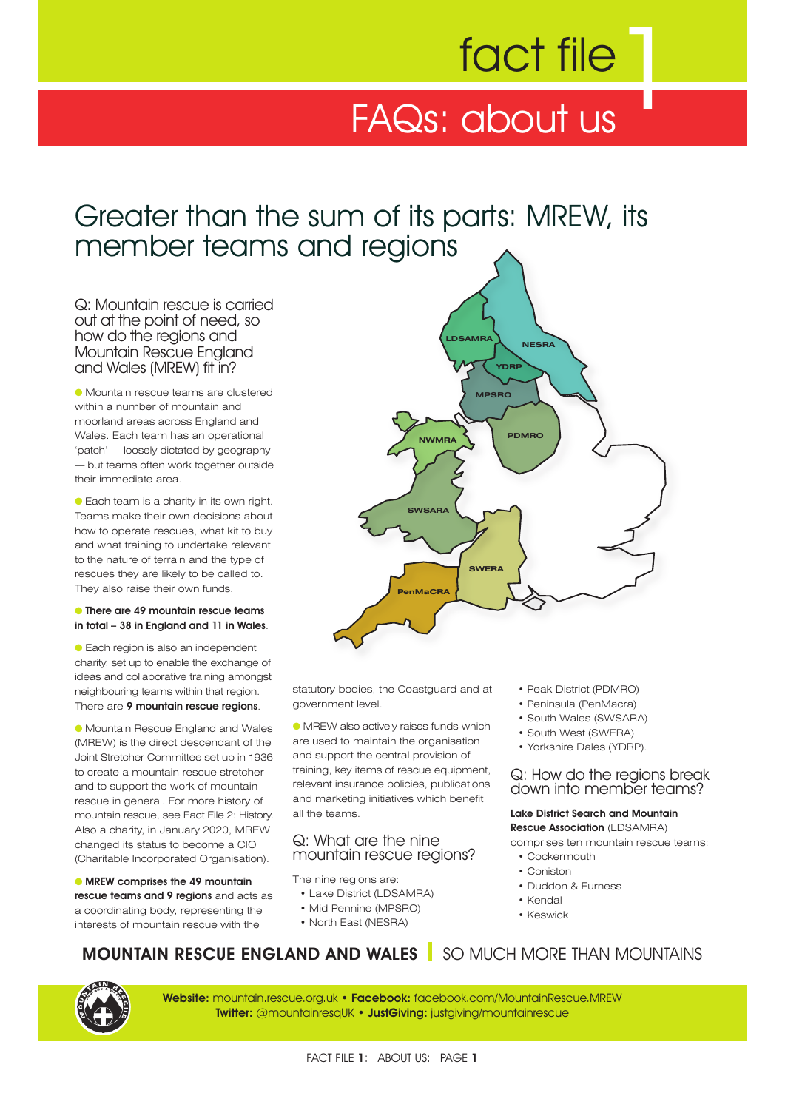# fact file

## FAQs: about us

## Greater than the sum of its parts: MREW, its member teams and regions

Q: Mountain rescue is carried out at the point of need, so how do the regions and Mountain Rescue England and Wales (MREW) fit in?

● Mountain rescue teams are clustered within a number of mountain and moorland areas across England and Wales. Each team has an operational 'patch' — loosely dictated by geography — but teams often work together outside their immediate area.

● Each team is a charity in its own right. Teams make their own decisions about how to operate rescues, what kit to buy and what training to undertake relevant to the nature of terrain and the type of rescues they are likely to be called to. They also raise their own funds.

#### ● **There are 49 mountain rescue teams in total – 38 in England and 11 in Wales**.

● Each region is also an independent charity, set up to enable the exchange of ideas and collaborative training amongst neighbouring teams within that region. There are **9 mountain rescue regions**.

● Mountain Rescue England and Wales (MREW) is the direct descendant of the Joint Stretcher Committee set up in 1936 to create a mountain rescue stretcher and to support the work of mountain rescue in general. For more history of mountain rescue, see Fact File 2: History. Also a charity, in January 2020, MREW changed its status to become a CIO (Charitable Incorporated Organisation).

#### ● **MREW comprises the 49 mountain**

**rescue teams and 9 regions** and acts as a coordinating body, representing the interests of mountain rescue with the



statutory bodies, the Coastguard and at government level.

● MREW also actively raises funds which are used to maintain the organisation and support the central provision of training, key items of rescue equipment, relevant insurance policies, publications and marketing initiatives which benefit all the teams.

#### Q: What are the nine mountain rescue regions?

The nine regions are:

- Lake District (LDSAMRA)
- Mid Pennine (MPSRO)
- North East (NESRA)
- Peak District (PDMRO)
- Peninsula (PenMacra)
- South Wales (SWSARA)
- South West (SWERA)
- Yorkshire Dales (YDRP).

#### Q: How do the regions break down into member teams?

#### **Lake District Search and Mountain Rescue Association** (LDSAMRA)

comprises ten mountain rescue teams:

- Cockermouth
- Coniston
- Duddon & Furness
- Kendal
- Keswick

## **MOUNTAIN RESCUE ENGLAND AND WALES** SO MUCH MORE THAN MOUNTAINS



**Website:** mountain.rescue.org.uk • **Facebook:** facebook.com/MountainRescue.MREW **Twitter:** @mountainresqUK • **JustGiving:** justgiving/mountainrescue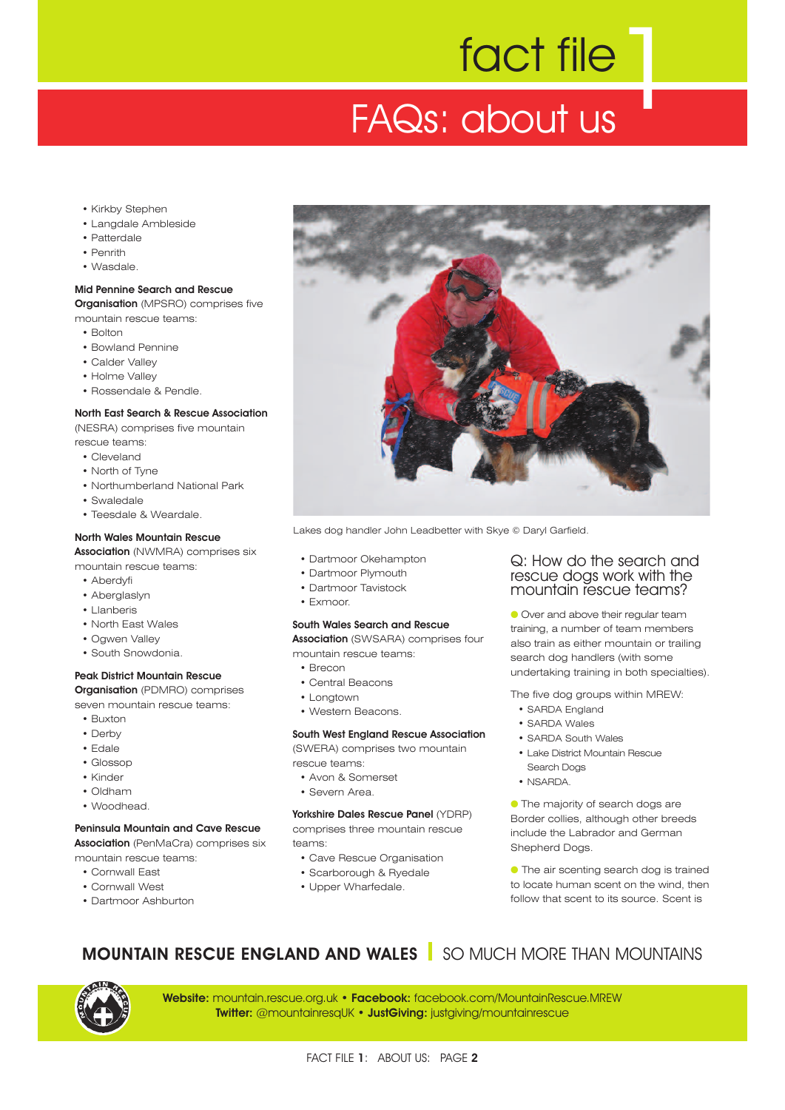# 1 fact file FAQs: about us

- Kirkby Stephen
- Langdale Ambleside
- Patterdale
- Penrith
- Wasdale.

**Mid Pennine Search and Rescue Organisation** (MPSRO) comprises five mountain rescue teams:

- Bolton
- Bowland Pennine
- Calder Valley
- Holme Valley
- Rossendale & Pendle.

#### **North East Search & Rescue Association**

(NESRA) comprises five mountain

rescue teams:

- Cleveland
- North of Tyne
- Northumberland National Park
- Swaledale
- Teesdale & Weardale.

#### **North Wales Mountain Rescue**

**Association** (NWMRA) comprises six

- mountain rescue teams:
	- Aberdyfi
	- Aberglaslyn
	- Llanberis
	- North East Wales
	- Ogwen Valley
	- South Snowdonia.

#### **Peak District Mountain Rescue**

**Organisation** (PDMRO) comprises

seven mountain rescue teams:

- Buxton
- Derby
- Edale
- Glossop
- Kinder
- Oldham
- Woodhead.

#### **Peninsula Mountain and Cave Rescue**

**Association** (PenMaCra) comprises six mountain rescue teams:

- Cornwall East
- Cornwall West
- Dartmoor Ashburton



Lakes dog handler John Leadbetter with Skye © Daryl Garfield.

- Dartmoor Okehampton
- Dartmoor Plymouth
- Dartmoor Tavistock
- Exmoor.

#### **South Wales Search and Rescue**

**Association** (SWSARA) comprises four

mountain rescue teams:

- Brecon
- Central Beacons
- Longtown
- Western Beacons.

#### **South West England Rescue Association**

(SWERA) comprises two mountain rescue teams:

- Avon & Somerset
- Severn Area.

**Yorkshire Dales Rescue Panel** (YDRP) comprises three mountain rescue teams:

- Cave Rescue Organisation
- Scarborough & Ryedale
- Upper Wharfedale.

#### Q: How do the search and rescue dogs work with the mountain rescue teams?

● Over and above their regular team training, a number of team members also train as either mountain or trailing search dog handlers (with some undertaking training in both specialties).

The five dog groups within MREW:

- SARDA England
	- SARDA Wales
	- SARDA South Wales
	- Lake District Mountain Rescue
	- Search Dogs
- NSARDA.

● The majority of search dogs are Border collies, although other breeds include the Labrador and German Shepherd Dogs.

● The air scenting search dog is trained to locate human scent on the wind, then follow that scent to its source. Scent is

## **MOUNTAIN RESCUE ENGLAND AND WALES** SO MUCH MORE THAN MOUNTAINS

**Website:** mountain.rescue.org.uk • **Facebook:** facebook.com/MountainRescue.MREW **Twitter:** @mountainresqUK • **JustGiving:** justgiving/mountainrescue